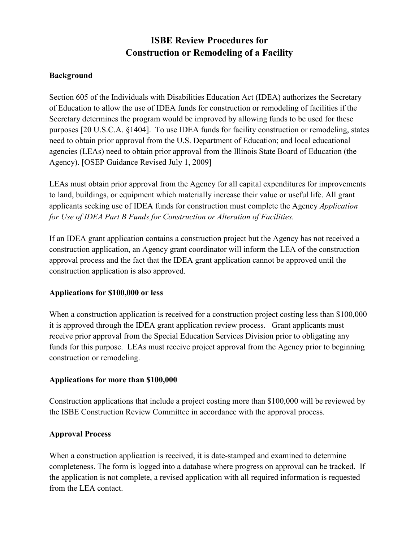# **ISBE Review Procedures for Construction or Remodeling of a Facility**

## **Background**

Section 605 of the Individuals with Disabilities Education Act (IDEA) authorizes the Secretary of Education to allow the use of IDEA funds for construction or remodeling of facilities if the Secretary determines the program would be improved by allowing funds to be used for these purposes [20 U.S.C.A. §1404]. To use IDEA funds for facility construction or remodeling, states need to obtain prior approval from the U.S. Department of Education; and local educational agencies (LEAs) need to obtain prior approval from the Illinois State Board of Education (the Agency). [OSEP Guidance Revised July 1, 2009]

LEAs must obtain prior approval from the Agency for all capital expenditures for improvements to land, buildings, or equipment which materially increase their value or useful life. All grant applicants seeking use of IDEA funds for construction must complete the Agency *Application for Use of IDEA Part B Funds for Construction or Alteration of Facilities.* 

If an IDEA grant application contains a construction project but the Agency has not received a construction application, an Agency grant coordinator will inform the LEA of the construction approval process and the fact that the IDEA grant application cannot be approved until the construction application is also approved.

## **Applications for \$100,000 or less**

When a construction application is received for a construction project costing less than \$100,000 it is approved through the IDEA grant application review process. Grant applicants must receive prior approval from the Special Education Services Division prior to obligating any funds for this purpose. LEAs must receive project approval from the Agency prior to beginning construction or remodeling.

#### **Applications for more than \$100,000**

Construction applications that include a project costing more than \$100,000 will be reviewed by the ISBE Construction Review Committee in accordance with the approval process.

#### **Approval Process**

When a construction application is received, it is date-stamped and examined to determine completeness. The form is logged into a database where progress on approval can be tracked. If the application is not complete, a revised application with all required information is requested from the LEA contact.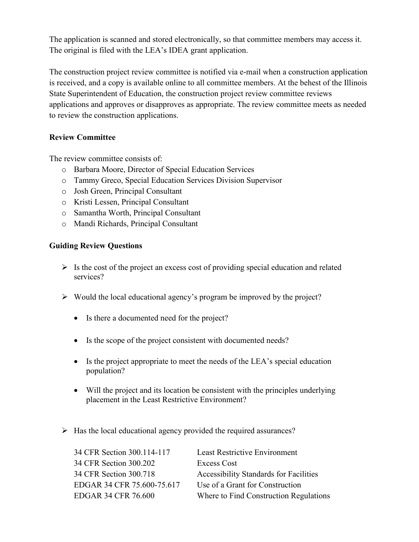The application is scanned and stored electronically, so that committee members may access it. The original is filed with the LEA's IDEA grant application.

The construction project review committee is notified via e-mail when a construction application is received, and a copy is available online to all committee members. At the behest of the Illinois State Superintendent of Education, the construction project review committee reviews applications and approves or disapproves as appropriate. The review committee meets as needed to review the construction applications.

# **Review Committee**

The review committee consists of:

- o Barbara Moore, Director of Special Education Services
- o Tammy Greco, Special Education Services Division Supervisor
- o Josh Green, Principal Consultant
- o Kristi Lessen, Principal Consultant
- o Samantha Worth, Principal Consultant
- o Mandi Richards, Principal Consultant

## **Guiding Review Questions**

- $\triangleright$  Is the cost of the project an excess cost of providing special education and related services?
- $\triangleright$  Would the local educational agency's program be improved by the project?
	- Is there a documented need for the project?
	- Is the scope of the project consistent with documented needs?
	- Is the project appropriate to meet the needs of the LEA's special education population?
	- Will the project and its location be consistent with the principles underlying placement in the Least Restrictive Environment?
- $\triangleright$  Has the local educational agency provided the required assurances?

| 34 CFR Section 300.114-117 | <b>Least Restrictive Environment</b>          |
|----------------------------|-----------------------------------------------|
| 34 CFR Section 300.202     | Excess Cost                                   |
| 34 CFR Section 300.718     | <b>Accessibility Standards for Facilities</b> |
| EDGAR 34 CFR 75.600-75.617 | Use of a Grant for Construction               |
| <b>EDGAR 34 CFR 76.600</b> | Where to Find Construction Regulations        |